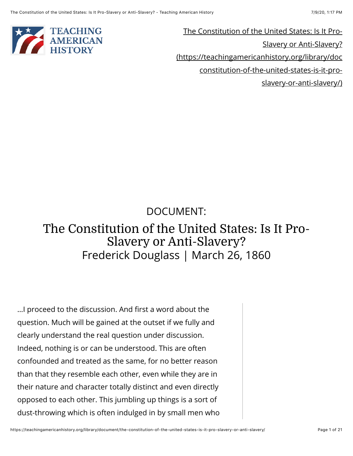

The Constitution of the United States: Is It Pro-Slavery or Anti-Slavery? (https://teachingamericanhistory.org/library/doc constitution-of-the-united-states-is-it-pro-

slavery-or-anti-slavery/)

## DOCUMENT:

## The Constitution of the United States: Is It Pro-Slavery or Anti-Slavery? Frederick Douglass | March 26, 1860

...I proceed to the discussion. And first a word about the question. Much will be gained at the outset if we fully and clearly understand the real question under discussion. Indeed, nothing is or can be understood. This are often confounded and treated as the same, for no better reason than that they resemble each other, even while they are in their nature and character totally distinct and even directly opposed to each other. This jumbling up things is a sort of dust-throwing which is often indulged in by small men who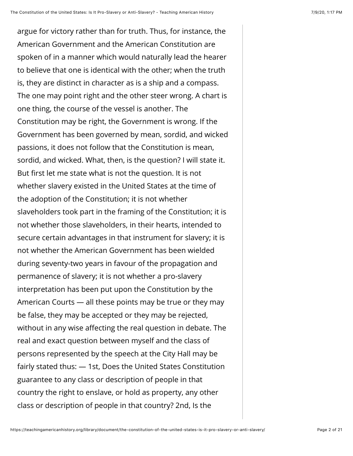argue for victory rather than for truth. Thus, for instance, the American Government and the American Constitution are spoken of in a manner which would naturally lead the hearer to believe that one is identical with the other; when the truth is, they are distinct in character as is a ship and a compass. The one may point right and the other steer wrong. A chart is one thing, the course of the vessel is another. The Constitution may be right, the Government is wrong. If the Government has been governed by mean, sordid, and wicked passions, it does not follow that the Constitution is mean, sordid, and wicked. What, then, is the question? I will state it. But first let me state what is not the question. It is not whether slavery existed in the United States at the time of the adoption of the Constitution; it is not whether slaveholders took part in the framing of the Constitution; it is not whether those slaveholders, in their hearts, intended to secure certain advantages in that instrument for slavery; it is not whether the American Government has been wielded during seventy-two years in favour of the propagation and permanence of slavery; it is not whether a pro-slavery interpretation has been put upon the Constitution by the American Courts — all these points may be true or they may be false, they may be accepted or they may be rejected, without in any wise affecting the real question in debate. The real and exact question between myself and the class of persons represented by the speech at the City Hall may be fairly stated thus: — 1st, Does the United States Constitution guarantee to any class or description of people in that country the right to enslave, or hold as property, any other class or description of people in that country? 2nd, Is the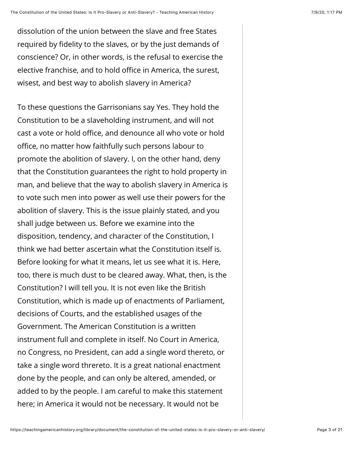dissolution of the union between the slave and free States required by fidelity to the slaves, or by the just demands of conscience? Or, in other words, is the refusal to exercise the elective franchise, and to hold office in America, the surest, wisest, and best way to abolish slavery in America?

To these questions the Garrisonians say Yes. They hold the Constitution to be a slaveholding instrument, and will not cast a vote or hold office, and denounce all who vote or hold office, no matter how faithfully such persons labour to promote the abolition of slavery. I, on the other hand, deny that the Constitution guarantees the right to hold property in man, and believe that the way to abolish slavery in America is to vote such men into power as well use their powers for the abolition of slavery. This is the issue plainly stated, and you shall judge between us. Before we examine into the disposition, tendency, and character of the Constitution, I think we had better ascertain what the Constitution itself is. Before looking for what it means, let us see what it is. Here, too, there is much dust to be cleared away. What, then, is the Constitution? I will tell you. It is not even like the British Constitution, which is made up of enactments of Parliament, decisions of Courts, and the established usages of the Government. The American Constitution is a written instrument full and complete in itself. No Court in America, no Congress, no President, can add a single word thereto, or take a single word threreto. It is a great national enactment done by the people, and can only be altered, amended, or added to by the people. I am careful to make this statement here; in America it would not be necessary. It would not be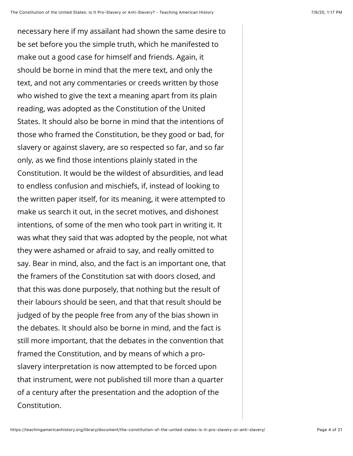necessary here if my assailant had shown the same desire to be set before you the simple truth, which he manifested to make out a good case for himself and friends. Again, it should be borne in mind that the mere text, and only the text, and not any commentaries or creeds written by those who wished to give the text a meaning apart from its plain reading, was adopted as the Constitution of the United States. It should also be borne in mind that the intentions of those who framed the Constitution, be they good or bad, for slavery or against slavery, are so respected so far, and so far only, as we find those intentions plainly stated in the Constitution. It would be the wildest of absurdities, and lead to endless confusion and mischiefs, if, instead of looking to the written paper itself, for its meaning, it were attempted to make us search it out, in the secret motives, and dishonest intentions, of some of the men who took part in writing it. It was what they said that was adopted by the people, not what they were ashamed or afraid to say, and really omitted to say. Bear in mind, also, and the fact is an important one, that the framers of the Constitution sat with doors closed, and that this was done purposely, that nothing but the result of their labours should be seen, and that that result should be judged of by the people free from any of the bias shown in the debates. It should also be borne in mind, and the fact is still more important, that the debates in the convention that framed the Constitution, and by means of which a proslavery interpretation is now attempted to be forced upon that instrument, were not published till more than a quarter of a century after the presentation and the adoption of the Constitution.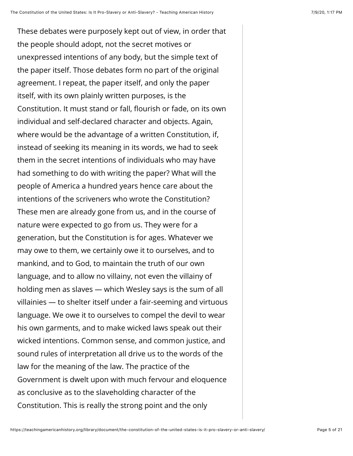These debates were purposely kept out of view, in order that the people should adopt, not the secret motives or unexpressed intentions of any body, but the simple text of the paper itself. Those debates form no part of the original agreement. I repeat, the paper itself, and only the paper itself, with its own plainly written purposes, is the Constitution. It must stand or fall, flourish or fade, on its own individual and self-declared character and objects. Again, where would be the advantage of a written Constitution, if, instead of seeking its meaning in its words, we had to seek them in the secret intentions of individuals who may have had something to do with writing the paper? What will the people of America a hundred years hence care about the intentions of the scriveners who wrote the Constitution? These men are already gone from us, and in the course of nature were expected to go from us. They were for a generation, but the Constitution is for ages. Whatever we may owe to them, we certainly owe it to ourselves, and to mankind, and to God, to maintain the truth of our own language, and to allow no villainy, not even the villainy of holding men as slaves — which Wesley says is the sum of all villainies — to shelter itself under a fair-seeming and virtuous language. We owe it to ourselves to compel the devil to wear his own garments, and to make wicked laws speak out their wicked intentions. Common sense, and common justice, and sound rules of interpretation all drive us to the words of the law for the meaning of the law. The practice of the Government is dwelt upon with much fervour and eloquence as conclusive as to the slaveholding character of the Constitution. This is really the strong point and the only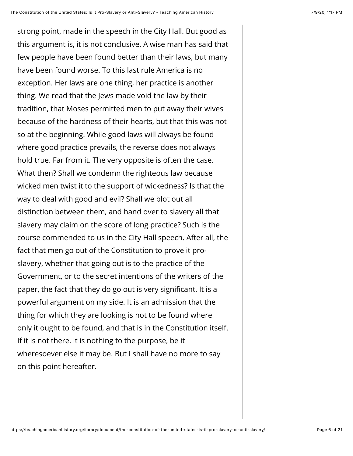strong point, made in the speech in the City Hall. But good as this argument is, it is not conclusive. A wise man has said that few people have been found better than their laws, but many have been found worse. To this last rule America is no exception. Her laws are one thing, her practice is another thing. We read that the Jews made void the law by their tradition, that Moses permitted men to put away their wives because of the hardness of their hearts, but that this was not so at the beginning. While good laws will always be found where good practice prevails, the reverse does not always hold true. Far from it. The very opposite is often the case. What then? Shall we condemn the righteous law because wicked men twist it to the support of wickedness? Is that the way to deal with good and evil? Shall we blot out all distinction between them, and hand over to slavery all that slavery may claim on the score of long practice? Such is the course commended to us in the City Hall speech. After all, the fact that men go out of the Constitution to prove it proslavery, whether that going out is to the practice of the Government, or to the secret intentions of the writers of the paper, the fact that they do go out is very significant. It is a powerful argument on my side. It is an admission that the thing for which they are looking is not to be found where only it ought to be found, and that is in the Constitution itself. If it is not there, it is nothing to the purpose, be it wheresoever else it may be. But I shall have no more to say on this point hereafter.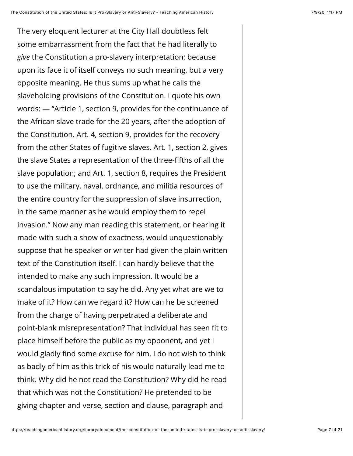The very eloquent lecturer at the City Hall doubtless felt some embarrassment from the fact that he had literally to *give* the Constitution a pro-slavery interpretation; because upon its face it of itself conveys no such meaning, but a very opposite meaning. He thus sums up what he calls the slaveholding provisions of the Constitution. I quote his own words: — "Article 1, section 9, provides for the continuance of the African slave trade for the 20 years, after the adoption of the Constitution. Art. 4, section 9, provides for the recovery from the other States of fugitive slaves. Art. 1, section 2, gives the slave States a representation of the three-fifths of all the slave population; and Art. 1, section 8, requires the President to use the military, naval, ordnance, and militia resources of the entire country for the suppression of slave insurrection, in the same manner as he would employ them to repel invasion." Now any man reading this statement, or hearing it made with such a show of exactness, would unquestionably suppose that he speaker or writer had given the plain written text of the Constitution itself. I can hardly believe that the intended to make any such impression. It would be a scandalous imputation to say he did. Any yet what are we to make of it? How can we regard it? How can he be screened from the charge of having perpetrated a deliberate and point-blank misrepresentation? That individual has seen fit to place himself before the public as my opponent, and yet I would gladly find some excuse for him. I do not wish to think as badly of him as this trick of his would naturally lead me to think. Why did he not read the Constitution? Why did he read that which was not the Constitution? He pretended to be giving chapter and verse, section and clause, paragraph and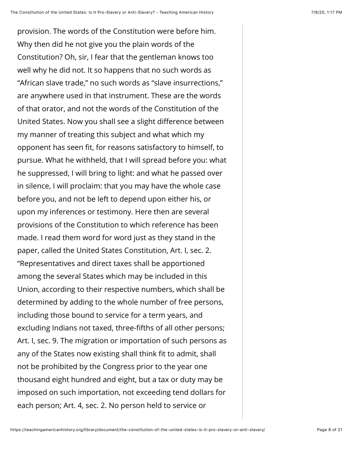provision. The words of the Constitution were before him. Why then did he not give you the plain words of the Constitution? Oh, sir, I fear that the gentleman knows too well why he did not. It so happens that no such words as "African slave trade," no such words as "slave insurrections," are anywhere used in that instrument. These are the words of that orator, and not the words of the Constitution of the United States. Now you shall see a slight difference between my manner of treating this subject and what which my opponent has seen fit, for reasons satisfactory to himself, to pursue. What he withheld, that I will spread before you: what he suppressed, I will bring to light: and what he passed over in silence, I will proclaim: that you may have the whole case before you, and not be left to depend upon either his, or upon my inferences or testimony. Here then are several provisions of the Constitution to which reference has been made. I read them word for word just as they stand in the paper, called the United States Constitution, Art. I, sec. 2. "Representatives and direct taxes shall be apportioned among the several States which may be included in this Union, according to their respective numbers, which shall be determined by adding to the whole number of free persons, including those bound to service for a term years, and excluding Indians not taxed, three-fifths of all other persons; Art. I, sec. 9. The migration or importation of such persons as any of the States now existing shall think fit to admit, shall not be prohibited by the Congress prior to the year one thousand eight hundred and eight, but a tax or duty may be imposed on such importation, not exceeding tend dollars for each person; Art. 4, sec. 2. No person held to service or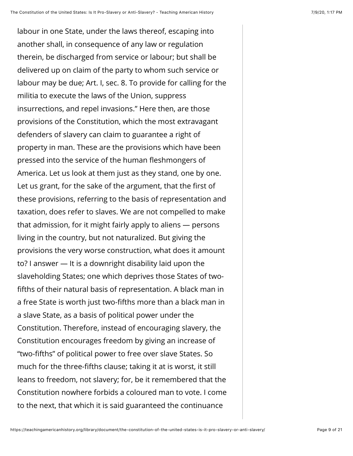labour in one State, under the laws thereof, escaping into another shall, in consequence of any law or regulation therein, be discharged from service or labour; but shall be delivered up on claim of the party to whom such service or labour may be due; Art. I, sec. 8. To provide for calling for the militia to execute the laws of the Union, suppress insurrections, and repel invasions." Here then, are those provisions of the Constitution, which the most extravagant defenders of slavery can claim to guarantee a right of property in man. These are the provisions which have been pressed into the service of the human fleshmongers of America. Let us look at them just as they stand, one by one. Let us grant, for the sake of the argument, that the first of these provisions, referring to the basis of representation and taxation, does refer to slaves. We are not compelled to make that admission, for it might fairly apply to aliens — persons living in the country, but not naturalized. But giving the provisions the very worse construction, what does it amount to? I answer — It is a downright disability laid upon the slaveholding States; one which deprives those States of two fifths of their natural basis of representation. A black man in a free State is worth just two-fifths more than a black man in a slave State, as a basis of political power under the Constitution. Therefore, instead of encouraging slavery, the Constitution encourages freedom by giving an increase of "two-fifths" of political power to free over slave States. So much for the three-fifths clause; taking it at is worst, it still leans to freedom, not slavery; for, be it remembered that the Constitution nowhere forbids a coloured man to vote. I come to the next, that which it is said guaranteed the continuance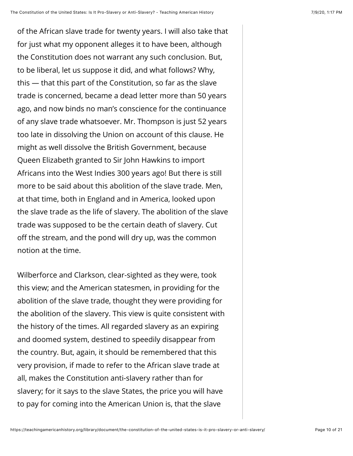of the African slave trade for twenty years. I will also take that for just what my opponent alleges it to have been, although the Constitution does not warrant any such conclusion. But, to be liberal, let us suppose it did, and what follows? Why, this — that this part of the Constitution, so far as the slave trade is concerned, became a dead letter more than 50 years ago, and now binds no man's conscience for the continuance of any slave trade whatsoever. Mr. Thompson is just 52 years too late in dissolving the Union on account of this clause. He might as well dissolve the British Government, because Queen Elizabeth granted to Sir John Hawkins to import Africans into the West Indies 300 years ago! But there is still more to be said about this abolition of the slave trade. Men, at that time, both in England and in America, looked upon the slave trade as the life of slavery. The abolition of the slave trade was supposed to be the certain death of slavery. Cut off the stream, and the pond will dry up, was the common notion at the time.

Wilberforce and Clarkson, clear-sighted as they were, took this view; and the American statesmen, in providing for the abolition of the slave trade, thought they were providing for the abolition of the slavery. This view is quite consistent with the history of the times. All regarded slavery as an expiring and doomed system, destined to speedily disappear from the country. But, again, it should be remembered that this very provision, if made to refer to the African slave trade at all, makes the Constitution anti-slavery rather than for slavery; for it says to the slave States, the price you will have to pay for coming into the American Union is, that the slave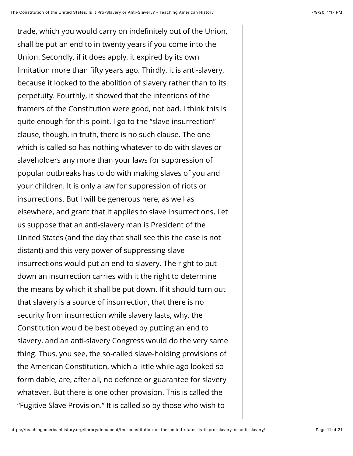trade, which you would carry on indefinitely out of the Union, shall be put an end to in twenty years if you come into the Union. Secondly, if it does apply, it expired by its own limitation more than fifty years ago. Thirdly, it is anti-slavery, because it looked to the abolition of slavery rather than to its perpetuity. Fourthly, it showed that the intentions of the framers of the Constitution were good, not bad. I think this is quite enough for this point. I go to the "slave insurrection" clause, though, in truth, there is no such clause. The one which is called so has nothing whatever to do with slaves or slaveholders any more than your laws for suppression of popular outbreaks has to do with making slaves of you and your children. It is only a law for suppression of riots or insurrections. But I will be generous here, as well as elsewhere, and grant that it applies to slave insurrections. Let us suppose that an anti-slavery man is President of the United States (and the day that shall see this the case is not distant) and this very power of suppressing slave insurrections would put an end to slavery. The right to put down an insurrection carries with it the right to determine the means by which it shall be put down. If it should turn out that slavery is a source of insurrection, that there is no security from insurrection while slavery lasts, why, the Constitution would be best obeyed by putting an end to slavery, and an anti-slavery Congress would do the very same thing. Thus, you see, the so-called slave-holding provisions of the American Constitution, which a little while ago looked so formidable, are, after all, no defence or guarantee for slavery whatever. But there is one other provision. This is called the "Fugitive Slave Provision." It is called so by those who wish to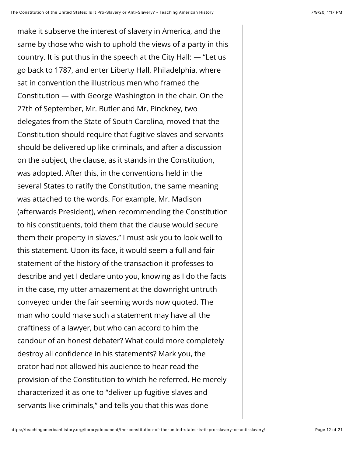make it subserve the interest of slavery in America, and the same by those who wish to uphold the views of a party in this country. It is put thus in the speech at the City Hall: — "Let us go back to 1787, and enter Liberty Hall, Philadelphia, where sat in convention the illustrious men who framed the Constitution — with George Washington in the chair. On the 27th of September, Mr. Butler and Mr. Pinckney, two delegates from the State of South Carolina, moved that the Constitution should require that fugitive slaves and servants should be delivered up like criminals, and after a discussion on the subject, the clause, as it stands in the Constitution, was adopted. After this, in the conventions held in the several States to ratify the Constitution, the same meaning was attached to the words. For example, Mr. Madison (afterwards President), when recommending the Constitution to his constituents, told them that the clause would secure them their property in slaves." I must ask you to look well to this statement. Upon its face, it would seem a full and fair statement of the history of the transaction it professes to describe and yet I declare unto you, knowing as I do the facts in the case, my utter amazement at the downright untruth conveyed under the fair seeming words now quoted. The man who could make such a statement may have all the craftiness of a lawyer, but who can accord to him the candour of an honest debater? What could more completely destroy all confidence in his statements? Mark you, the orator had not allowed his audience to hear read the provision of the Constitution to which he referred. He merely characterized it as one to "deliver up fugitive slaves and servants like criminals," and tells you that this was done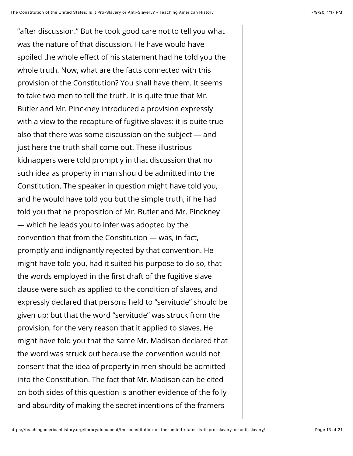"after discussion." But he took good care not to tell you what was the nature of that discussion. He have would have spoiled the whole effect of his statement had he told you the whole truth. Now, what are the facts connected with this provision of the Constitution? You shall have them. It seems to take two men to tell the truth. It is quite true that Mr. Butler and Mr. Pinckney introduced a provision expressly with a view to the recapture of fugitive slaves: it is quite true also that there was some discussion on the subject — and just here the truth shall come out. These illustrious kidnappers were told promptly in that discussion that no such idea as property in man should be admitted into the Constitution. The speaker in question might have told you, and he would have told you but the simple truth, if he had told you that he proposition of Mr. Butler and Mr. Pinckney — which he leads you to infer was adopted by the convention that from the Constitution — was, in fact, promptly and indignantly rejected by that convention. He might have told you, had it suited his purpose to do so, that the words employed in the first draft of the fugitive slave clause were such as applied to the condition of slaves, and expressly declared that persons held to "servitude" should be given up; but that the word "servitude" was struck from the provision, for the very reason that it applied to slaves. He might have told you that the same Mr. Madison declared that the word was struck out because the convention would not consent that the idea of property in men should be admitted into the Constitution. The fact that Mr. Madison can be cited on both sides of this question is another evidence of the folly and absurdity of making the secret intentions of the framers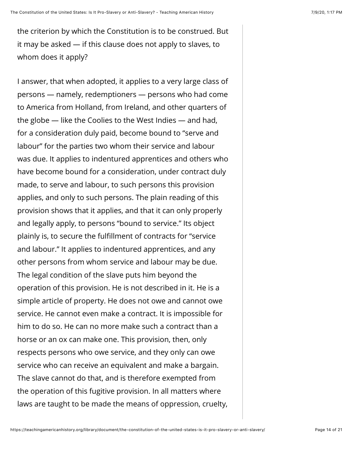the criterion by which the Constitution is to be construed. But it may be asked — if this clause does not apply to slaves, to whom does it apply?

I answer, that when adopted, it applies to a very large class of persons — namely, redemptioners — persons who had come to America from Holland, from Ireland, and other quarters of the globe — like the Coolies to the West Indies — and had, for a consideration duly paid, become bound to "serve and labour" for the parties two whom their service and labour was due. It applies to indentured apprentices and others who have become bound for a consideration, under contract duly made, to serve and labour, to such persons this provision applies, and only to such persons. The plain reading of this provision shows that it applies, and that it can only properly and legally apply, to persons "bound to service." Its object plainly is, to secure the fulfillment of contracts for "service and labour." It applies to indentured apprentices, and any other persons from whom service and labour may be due. The legal condition of the slave puts him beyond the operation of this provision. He is not described in it. He is a simple article of property. He does not owe and cannot owe service. He cannot even make a contract. It is impossible for him to do so. He can no more make such a contract than a horse or an ox can make one. This provision, then, only respects persons who owe service, and they only can owe service who can receive an equivalent and make a bargain. The slave cannot do that, and is therefore exempted from the operation of this fugitive provision. In all matters where laws are taught to be made the means of oppression, cruelty,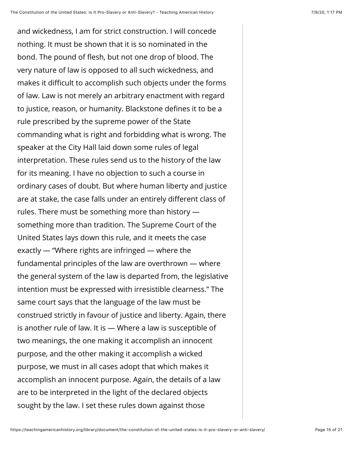and wickedness, I am for strict construction. I will concede nothing. It must be shown that it is so nominated in the bond. The pound of flesh, but not one drop of blood. The very nature of law is opposed to all such wickedness, and makes it difficult to accomplish such objects under the forms of law. Law is not merely an arbitrary enactment with regard to justice, reason, or humanity. Blackstone defines it to be a rule prescribed by the supreme power of the State commanding what is right and forbidding what is wrong. The speaker at the City Hall laid down some rules of legal interpretation. These rules send us to the history of the law for its meaning. I have no objection to such a course in ordinary cases of doubt. But where human liberty and justice are at stake, the case falls under an entirely different class of rules. There must be something more than history something more than tradition. The Supreme Court of the United States lays down this rule, and it meets the case exactly — "Where rights are infringed — where the fundamental principles of the law are overthrown — where the general system of the law is departed from, the legislative intention must be expressed with irresistible clearness." The same court says that the language of the law must be construed strictly in favour of justice and liberty. Again, there is another rule of law. It is — Where a law is susceptible of two meanings, the one making it accomplish an innocent purpose, and the other making it accomplish a wicked purpose, we must in all cases adopt that which makes it accomplish an innocent purpose. Again, the details of a law are to be interpreted in the light of the declared objects sought by the law. I set these rules down against those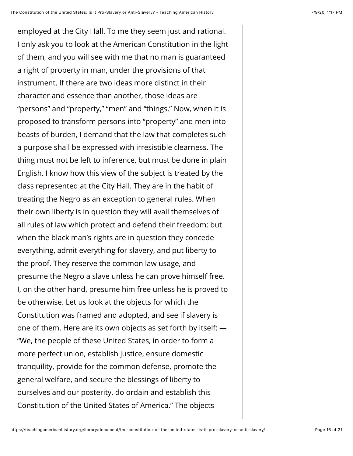employed at the City Hall. To me they seem just and rational. I only ask you to look at the American Constitution in the light of them, and you will see with me that no man is guaranteed a right of property in man, under the provisions of that instrument. If there are two ideas more distinct in their character and essence than another, those ideas are "persons" and "property," "men" and "things." Now, when it is proposed to transform persons into "property" and men into beasts of burden, I demand that the law that completes such a purpose shall be expressed with irresistible clearness. The thing must not be left to inference, but must be done in plain English. I know how this view of the subject is treated by the class represented at the City Hall. They are in the habit of treating the Negro as an exception to general rules. When their own liberty is in question they will avail themselves of all rules of law which protect and defend their freedom; but when the black man's rights are in question they concede everything, admit everything for slavery, and put liberty to the proof. They reserve the common law usage, and presume the Negro a slave unless he can prove himself free. I, on the other hand, presume him free unless he is proved to be otherwise. Let us look at the objects for which the Constitution was framed and adopted, and see if slavery is one of them. Here are its own objects as set forth by itself: — "We, the people of these United States, in order to form a more perfect union, establish justice, ensure domestic tranquility, provide for the common defense, promote the general welfare, and secure the blessings of liberty to ourselves and our posterity, do ordain and establish this Constitution of the United States of America." The objects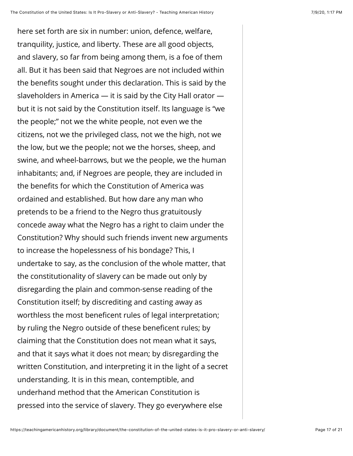here set forth are six in number: union, defence, welfare, tranquility, justice, and liberty. These are all good objects, and slavery, so far from being among them, is a foe of them all. But it has been said that Negroes are not included within the benefits sought under this declaration. This is said by the slaveholders in America — it is said by the City Hall orator but it is not said by the Constitution itself. Its language is "we the people;" not we the white people, not even we the citizens, not we the privileged class, not we the high, not we the low, but we the people; not we the horses, sheep, and swine, and wheel-barrows, but we the people, we the human inhabitants; and, if Negroes are people, they are included in the benefits for which the Constitution of America was ordained and established. But how dare any man who pretends to be a friend to the Negro thus gratuitously concede away what the Negro has a right to claim under the Constitution? Why should such friends invent new arguments to increase the hopelessness of his bondage? This, I undertake to say, as the conclusion of the whole matter, that the constitutionality of slavery can be made out only by disregarding the plain and common-sense reading of the Constitution itself; by discrediting and casting away as worthless the most beneficent rules of legal interpretation; by ruling the Negro outside of these beneficent rules; by claiming that the Constitution does not mean what it says, and that it says what it does not mean; by disregarding the written Constitution, and interpreting it in the light of a secret understanding. It is in this mean, contemptible, and underhand method that the American Constitution is pressed into the service of slavery. They go everywhere else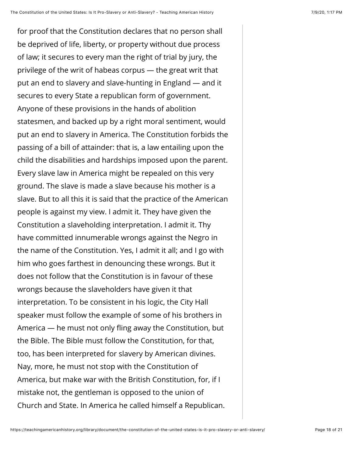for proof that the Constitution declares that no person shall be deprived of life, liberty, or property without due process of law; it secures to every man the right of trial by jury, the privilege of the writ of habeas corpus — the great writ that put an end to slavery and slave-hunting in England — and it secures to every State a republican form of government. Anyone of these provisions in the hands of abolition statesmen, and backed up by a right moral sentiment, would put an end to slavery in America. The Constitution forbids the passing of a bill of attainder: that is, a law entailing upon the child the disabilities and hardships imposed upon the parent. Every slave law in America might be repealed on this very ground. The slave is made a slave because his mother is a slave. But to all this it is said that the practice of the American people is against my view. I admit it. They have given the Constitution a slaveholding interpretation. I admit it. Thy have committed innumerable wrongs against the Negro in the name of the Constitution. Yes, I admit it all; and I go with him who goes farthest in denouncing these wrongs. But it does not follow that the Constitution is in favour of these wrongs because the slaveholders have given it that interpretation. To be consistent in his logic, the City Hall speaker must follow the example of some of his brothers in America — he must not only fling away the Constitution, but the Bible. The Bible must follow the Constitution, for that, too, has been interpreted for slavery by American divines. Nay, more, he must not stop with the Constitution of America, but make war with the British Constitution, for, if I mistake not, the gentleman is opposed to the union of Church and State. In America he called himself a Republican.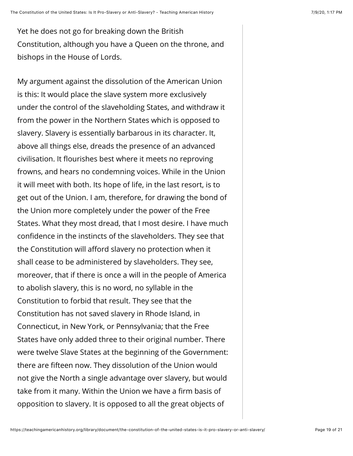Yet he does not go for breaking down the British Constitution, although you have a Queen on the throne, and bishops in the House of Lords.

My argument against the dissolution of the American Union is this: It would place the slave system more exclusively under the control of the slaveholding States, and withdraw it from the power in the Northern States which is opposed to slavery. Slavery is essentially barbarous in its character. It, above all things else, dreads the presence of an advanced civilisation. It flourishes best where it meets no reproving frowns, and hears no condemning voices. While in the Union it will meet with both. Its hope of life, in the last resort, is to get out of the Union. I am, therefore, for drawing the bond of the Union more completely under the power of the Free States. What they most dread, that I most desire. I have much confidence in the instincts of the slaveholders. They see that the Constitution will afford slavery no protection when it shall cease to be administered by slaveholders. They see, moreover, that if there is once a will in the people of America to abolish slavery, this is no word, no syllable in the Constitution to forbid that result. They see that the Constitution has not saved slavery in Rhode Island, in Connecticut, in New York, or Pennsylvania; that the Free States have only added three to their original number. There were twelve Slave States at the beginning of the Government: there are fifteen now. They dissolution of the Union would not give the North a single advantage over slavery, but would take from it many. Within the Union we have a firm basis of opposition to slavery. It is opposed to all the great objects of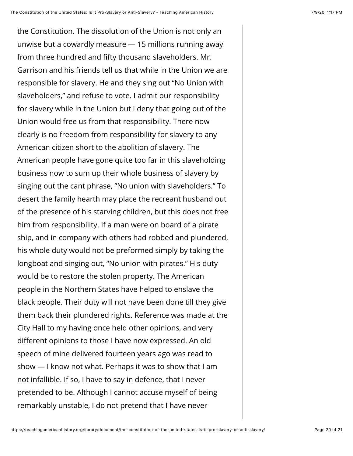the Constitution. The dissolution of the Union is not only an unwise but a cowardly measure — 15 millions running away from three hundred and fifty thousand slaveholders. Mr. Garrison and his friends tell us that while in the Union we are responsible for slavery. He and they sing out "No Union with slaveholders," and refuse to vote. I admit our responsibility for slavery while in the Union but I deny that going out of the Union would free us from that responsibility. There now clearly is no freedom from responsibility for slavery to any American citizen short to the abolition of slavery. The American people have gone quite too far in this slaveholding business now to sum up their whole business of slavery by singing out the cant phrase, "No union with slaveholders." To desert the family hearth may place the recreant husband out of the presence of his starving children, but this does not free him from responsibility. If a man were on board of a pirate ship, and in company with others had robbed and plundered, his whole duty would not be preformed simply by taking the longboat and singing out, "No union with pirates." His duty would be to restore the stolen property. The American people in the Northern States have helped to enslave the black people. Their duty will not have been done till they give them back their plundered rights. Reference was made at the City Hall to my having once held other opinions, and very different opinions to those I have now expressed. An old speech of mine delivered fourteen years ago was read to show — I know not what. Perhaps it was to show that I am not infallible. If so, I have to say in defence, that I never pretended to be. Although I cannot accuse myself of being remarkably unstable, I do not pretend that I have never